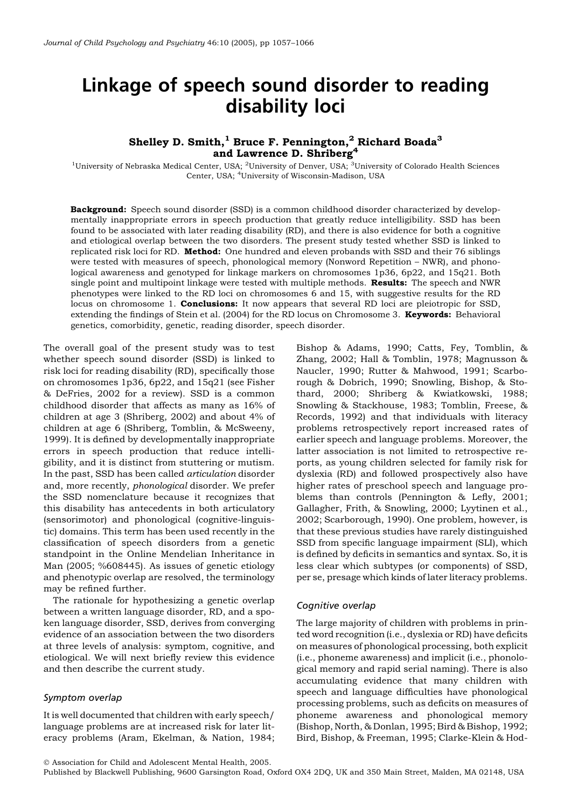# Linkage of speech sound disorder to reading disability loci

# Shelley D. Smith,<sup>1</sup> Bruce F. Pennington,<sup>2</sup> Richard Boada<sup>3</sup> and Lawrence D. Shriberg<sup>4</sup>

<sup>1</sup>University of Nebraska Medical Center, USA; <sup>2</sup>University of Denver, USA; <sup>3</sup>University of Colorado Health Sciences Center, USA; <sup>4</sup>University of Wisconsin-Madison, USA

Background: Speech sound disorder (SSD) is a common childhood disorder characterized by developmentally inappropriate errors in speech production that greatly reduce intelligibility. SSD has been found to be associated with later reading disability (RD), and there is also evidence for both a cognitive and etiological overlap between the two disorders. The present study tested whether SSD is linked to replicated risk loci for RD. Method: One hundred and eleven probands with SSD and their 76 siblings were tested with measures of speech, phonological memory (Nonword Repetition – NWR), and phonological awareness and genotyped for linkage markers on chromosomes 1p36, 6p22, and 15q21. Both single point and multipoint linkage were tested with multiple methods. **Results:** The speech and NWR phenotypes were linked to the RD loci on chromosomes 6 and 15, with suggestive results for the RD locus on chromosome 1. **Conclusions:** It now appears that several RD loci are pleiotropic for SSD, extending the findings of Stein et al. (2004) for the RD locus on Chromosome 3. **Keywords:** Behavioral genetics, comorbidity, genetic, reading disorder, speech disorder.

The overall goal of the present study was to test whether speech sound disorder (SSD) is linked to risk loci for reading disability (RD), specifically those on chromosomes 1p36, 6p22, and 15q21 (see Fisher & DeFries, 2002 for a review). SSD is a common childhood disorder that affects as many as 16% of children at age 3 (Shriberg, 2002) and about 4% of children at age 6 (Shriberg, Tomblin, & McSweeny, 1999). It is defined by developmentally inappropriate errors in speech production that reduce intelligibility, and it is distinct from stuttering or mutism. In the past, SSD has been called articulation disorder and, more recently, phonological disorder. We prefer the SSD nomenclature because it recognizes that this disability has antecedents in both articulatory (sensorimotor) and phonological (cognitive-linguistic) domains. This term has been used recently in the classification of speech disorders from a genetic standpoint in the Online Mendelian Inheritance in Man (2005; %608445). As issues of genetic etiology and phenotypic overlap are resolved, the terminology may be refined further.

The rationale for hypothesizing a genetic overlap between a written language disorder, RD, and a spoken language disorder, SSD, derives from converging evidence of an association between the two disorders at three levels of analysis: symptom, cognitive, and etiological. We will next briefly review this evidence and then describe the current study.

## Symptom overlap

It is well documented that children with early speech/ language problems are at increased risk for later literacy problems (Aram, Ekelman, & Nation, 1984; Bishop & Adams, 1990; Catts, Fey, Tomblin, & Zhang, 2002; Hall & Tomblin, 1978; Magnusson & Naucler, 1990; Rutter & Mahwood, 1991; Scarborough & Dobrich, 1990; Snowling, Bishop, & Stothard, 2000; Shriberg & Kwiatkowski, 1988; Snowling & Stackhouse, 1983; Tomblin, Freese, & Records, 1992) and that individuals with literacy problems retrospectively report increased rates of earlier speech and language problems. Moreover, the latter association is not limited to retrospective reports, as young children selected for family risk for dyslexia (RD) and followed prospectively also have higher rates of preschool speech and language problems than controls (Pennington & Lefly, 2001; Gallagher, Frith, & Snowling, 2000; Lyytinen et al., 2002; Scarborough, 1990). One problem, however, is that these previous studies have rarely distinguished SSD from specific language impairment (SLI), which is defined by deficits in semantics and syntax. So, it is less clear which subtypes (or components) of SSD, per se, presage which kinds of later literacy problems.

#### Cognitive overlap

The large majority of children with problems in printed word recognition (i.e., dyslexia or RD) have deficits on measures of phonological processing, both explicit (i.e., phoneme awareness) and implicit (i.e., phonological memory and rapid serial naming). There is also accumulating evidence that many children with speech and language difficulties have phonological processing problems, such as deficits on measures of phoneme awareness and phonological memory (Bishop, North, & Donlan, 1995; Bird & Bishop, 1992; Bird, Bishop, & Freeman, 1995; Clarke-Klein & Hod-

Association for Child and Adolescent Mental Health, 2005.

Published by Blackwell Publishing, 9600 Garsington Road, Oxford OX4 2DQ, UK and 350 Main Street, Malden, MA 02148, USA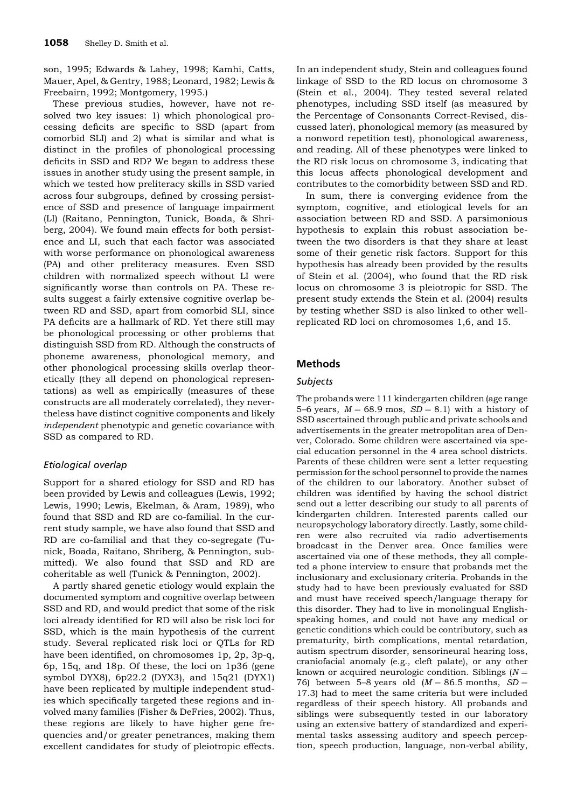son, 1995; Edwards & Lahey, 1998; Kamhi, Catts, Mauer, Apel, & Gentry, 1988; Leonard, 1982; Lewis & Freebairn, 1992; Montgomery, 1995.)

These previous studies, however, have not resolved two key issues: 1) which phonological processing deficits are specific to SSD (apart from comorbid SLI) and 2) what is similar and what is distinct in the profiles of phonological processing deficits in SSD and RD? We began to address these issues in another study using the present sample, in which we tested how preliteracy skills in SSD varied across four subgroups, defined by crossing persistence of SSD and presence of language impairment (LI) (Raitano, Pennington, Tunick, Boada, & Shriberg, 2004). We found main effects for both persistence and LI, such that each factor was associated with worse performance on phonological awareness (PA) and other preliteracy measures. Even SSD children with normalized speech without LI were significantly worse than controls on PA. These results suggest a fairly extensive cognitive overlap between RD and SSD, apart from comorbid SLI, since PA deficits are a hallmark of RD. Yet there still may be phonological processing or other problems that distinguish SSD from RD. Although the constructs of phoneme awareness, phonological memory, and other phonological processing skills overlap theoretically (they all depend on phonological representations) as well as empirically (measures of these constructs are all moderately correlated), they nevertheless have distinct cognitive components and likely independent phenotypic and genetic covariance with SSD as compared to RD.

## Etiological overlap

Support for a shared etiology for SSD and RD has been provided by Lewis and colleagues (Lewis, 1992; Lewis, 1990; Lewis, Ekelman, & Aram, 1989), who found that SSD and RD are co-familial. In the current study sample, we have also found that SSD and RD are co-familial and that they co-segregate (Tunick, Boada, Raitano, Shriberg, & Pennington, submitted). We also found that SSD and RD are coheritable as well (Tunick & Pennington, 2002).

A partly shared genetic etiology would explain the documented symptom and cognitive overlap between SSD and RD, and would predict that some of the risk loci already identified for RD will also be risk loci for SSD, which is the main hypothesis of the current study. Several replicated risk loci or QTLs for RD have been identified, on chromosomes 1p, 2p, 3p-q, 6p, 15q, and 18p. Of these, the loci on 1p36 (gene symbol DYX8), 6p22.2 (DYX3), and 15q21 (DYX1) have been replicated by multiple independent studies which specifically targeted these regions and involved many families (Fisher & DeFries, 2002). Thus, these regions are likely to have higher gene frequencies and/or greater penetrances, making them excellent candidates for study of pleiotropic effects.

In an independent study, Stein and colleagues found linkage of SSD to the RD locus on chromosome 3 (Stein et al., 2004). They tested several related phenotypes, including SSD itself (as measured by the Percentage of Consonants Correct-Revised, discussed later), phonological memory (as measured by a nonword repetition test), phonological awareness, and reading. All of these phenotypes were linked to the RD risk locus on chromosome 3, indicating that this locus affects phonological development and contributes to the comorbidity between SSD and RD.

In sum, there is converging evidence from the symptom, cognitive, and etiological levels for an association between RD and SSD. A parsimonious hypothesis to explain this robust association between the two disorders is that they share at least some of their genetic risk factors. Support for this hypothesis has already been provided by the results of Stein et al. (2004), who found that the RD risk locus on chromosome 3 is pleiotropic for SSD. The present study extends the Stein et al. (2004) results by testing whether SSD is also linked to other wellreplicated RD loci on chromosomes 1,6, and 15.

## Methods

### Subjects

The probands were 111 kindergarten children (age range 5–6 years,  $M = 68.9$  mos,  $SD = 8.1$ ) with a history of SSD ascertained through public and private schools and advertisements in the greater metropolitan area of Denver, Colorado. Some children were ascertained via special education personnel in the 4 area school districts. Parents of these children were sent a letter requesting permission for the school personnel to provide the names of the children to our laboratory. Another subset of children was identified by having the school district send out a letter describing our study to all parents of kindergarten children. Interested parents called our neuropsychology laboratory directly. Lastly, some children were also recruited via radio advertisements broadcast in the Denver area. Once families were ascertained via one of these methods, they all completed a phone interview to ensure that probands met the inclusionary and exclusionary criteria. Probands in the study had to have been previously evaluated for SSD and must have received speech/language therapy for this disorder. They had to live in monolingual Englishspeaking homes, and could not have any medical or genetic conditions which could be contributory, such as prematurity, birth complications, mental retardation, autism spectrum disorder, sensorineural hearing loss, craniofacial anomaly (e.g., cleft palate), or any other known or acquired neurologic condition. Siblings  $(N =$ 76) between 5–8 years old  $(M = 86.5 \text{ months}, SD =$ 17.3) had to meet the same criteria but were included regardless of their speech history. All probands and siblings were subsequently tested in our laboratory using an extensive battery of standardized and experimental tasks assessing auditory and speech perception, speech production, language, non-verbal ability,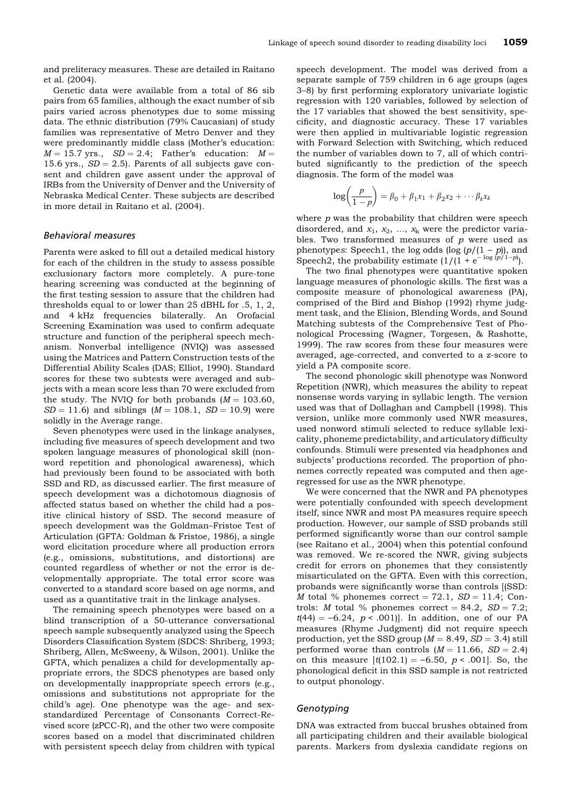and preliteracy measures. These are detailed in Raitano et al. (2004).

Genetic data were available from a total of 86 sib pairs from 65 families, although the exact number of sib pairs varied across phenotypes due to some missing data. The ethnic distribution (79% Caucasian) of study families was representative of Metro Denver and they were predominantly middle class (Mother's education:  $M = 15.7$  yrs.,  $SD = 2.4$ ; Father's education:  $M =$ 15.6 yrs.,  $SD = 2.5$ ). Parents of all subjects gave consent and children gave assent under the approval of IRBs from the University of Denver and the University of Nebraska Medical Center. These subjects are described in more detail in Raitano et al. (2004).

#### Behavioral measures

Parents were asked to fill out a detailed medical history for each of the children in the study to assess possible exclusionary factors more completely. A pure-tone hearing screening was conducted at the beginning of the first testing session to assure that the children had thresholds equal to or lower than 25 dBHL for .5, 1, 2, and 4 kHz frequencies bilaterally. An Orofacial Screening Examination was used to confirm adequate structure and function of the peripheral speech mechanism. Nonverbal intelligence (NVIQ) was assessed using the Matrices and Pattern Construction tests of the Differential Ability Scales (DAS; Elliot, 1990). Standard scores for these two subtests were averaged and subjects with a mean score less than 70 were excluded from the study. The NVIQ for both probands  $(M = 103.60,$  $SD = 11.6$ ) and siblings ( $M = 108.1$ ,  $SD = 10.9$ ) were solidly in the Average range.

Seven phenotypes were used in the linkage analyses, including five measures of speech development and two spoken language measures of phonological skill (nonword repetition and phonological awareness), which had previously been found to be associated with both SSD and RD, as discussed earlier. The first measure of speech development was a dichotomous diagnosis of affected status based on whether the child had a positive clinical history of SSD. The second measure of speech development was the Goldman–Fristoe Test of Articulation (GFTA: Goldman & Fristoe, 1986), a single word elicitation procedure where all production errors (e.g., omissions, substitutions, and distortions) are counted regardless of whether or not the error is developmentally appropriate. The total error score was converted to a standard score based on age norms, and used as a quantitative trait in the linkage analyses.

The remaining speech phenotypes were based on a blind transcription of a 50-utterance conversational speech sample subsequently analyzed using the Speech Disorders Classification System (SDCS: Shriberg, 1993; Shriberg, Allen, McSweeny, & Wilson, 2001). Unlike the GFTA, which penalizes a child for developmentally appropriate errors, the SDCS phenotypes are based only on developmentally inappropriate speech errors (e.g., omissions and substitutions not appropriate for the child's age). One phenotype was the age- and sexstandardized Percentage of Consonants Correct-Revised score (zPCC-R), and the other two were composite scores based on a model that discriminated children with persistent speech delay from children with typical

speech development. The model was derived from a separate sample of 759 children in 6 age groups (ages 3–8) by first performing exploratory univariate logistic regression with 120 variables, followed by selection of the 17 variables that showed the best sensitivity, specificity, and diagnostic accuracy. These 17 variables were then applied in multivariable logistic regression with Forward Selection with Switching, which reduced the number of variables down to 7, all of which contributed significantly to the prediction of the speech diagnosis. The form of the model was

$$
\log\left(\frac{p}{1-p}\right) = \beta_0 + \beta_1 x_1 + \beta_2 x_2 + \cdots \beta_k x_k
$$

where  $p$  was the probability that children were speech disordered, and  $x_1, x_2, ..., x_k$  were the predictor variables. Two transformed measures of  $p$  were used as phenotypes: Speech1, the log odds (log  $(p/(1 - p))$ , and Speech2, the probability estimate  $(1/(1 + e^{-\log(p/1-p)})$ .

The two final phenotypes were quantitative spoken language measures of phonologic skills. The first was a composite measure of phonological awareness (PA), comprised of the Bird and Bishop (1992) rhyme judgment task, and the Elision, Blending Words, and Sound Matching subtests of the Comprehensive Test of Phonological Processing (Wagner, Torgesen, & Rashotte, 1999). The raw scores from these four measures were averaged, age-corrected, and converted to a z-score to yield a PA composite score.

The second phonologic skill phenotype was Nonword Repetition (NWR), which measures the ability to repeat nonsense words varying in syllabic length. The version used was that of Dollaghan and Campbell (1998). This version, unlike more commonly used NWR measures, used nonword stimuli selected to reduce syllable lexicality, phoneme predictability, and articulatory difficulty confounds. Stimuli were presented via headphones and subjects' productions recorded. The proportion of phonemes correctly repeated was computed and then ageregressed for use as the NWR phenotype.

We were concerned that the NWR and PA phenotypes were potentially confounded with speech development itself, since NWR and most PA measures require speech production. However, our sample of SSD probands still performed significantly worse than our control sample (see Raitano et al., 2004) when this potential confound was removed. We re-scored the NWR, giving subjects credit for errors on phonemes that they consistently misarticulated on the GFTA. Even with this correction, probands were significantly worse than controls [(SSD: M total % phonemes correct = 72.1,  $SD = 11.4$ ; Controls: *M* total % phonemes correct = 84.2,  $SD = 7.2$ ;  $t(44) = -6.24$ ,  $p < .001$ ]. In addition, one of our PA measures (Rhyme Judgment) did not require speech production, yet the SSD group ( $M = 8.49$ , SD = 3.4) still performed worse than controls  $(M = 11.66, SD = 2.4)$ on this measure  $[t(102.1) = -6.50, p < .001]$ . So, the phonological deficit in this SSD sample is not restricted to output phonology.

#### Genotyping

DNA was extracted from buccal brushes obtained from all participating children and their available biological parents. Markers from dyslexia candidate regions on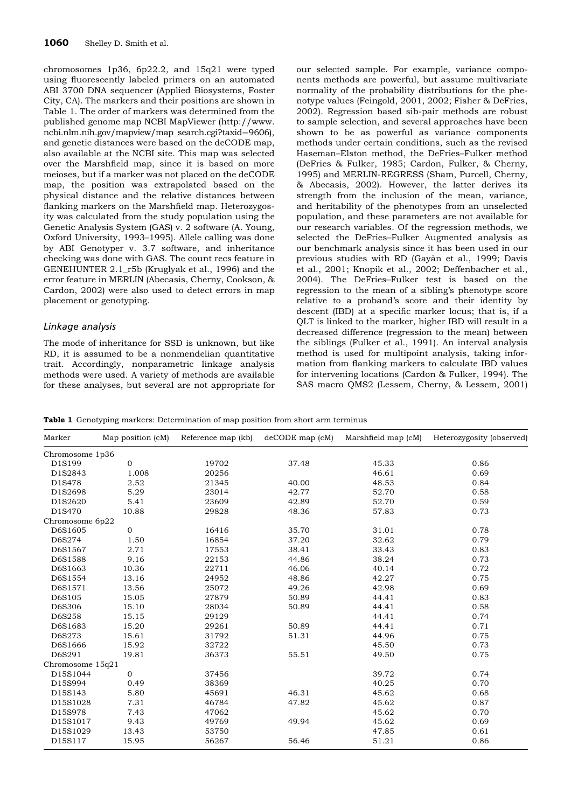chromosomes 1p36, 6p22.2, and 15q21 were typed using fluorescently labeled primers on an automated ABI 3700 DNA sequencer (Applied Biosystems, Foster City, CA). The markers and their positions are shown in Table 1. The order of markers was determined from the published genome map NCBI MapViewer (http://www. ncbi.nlm.nih.gov/mapview/map\_search.cgi?taxid=9606), and genetic distances were based on the deCODE map, also available at the NCBI site. This map was selected over the Marshfield map, since it is based on more meioses, but if a marker was not placed on the deCODE map, the position was extrapolated based on the physical distance and the relative distances between flanking markers on the Marshfield map. Heterozygosity was calculated from the study population using the Genetic Analysis System (GAS) v. 2 software (A. Young, Oxford University, 1993–1995). Allele calling was done by ABI Genotyper v. 3.7 software, and inheritance checking was done with GAS. The count recs feature in GENEHUNTER 2.1\_r5b (Kruglyak et al., 1996) and the error feature in MERLIN (Abecasis, Cherny, Cookson, & Cardon, 2002) were also used to detect errors in map placement or genotyping.

## Linkage analysis

The mode of inheritance for SSD is unknown, but like RD, it is assumed to be a nonmendelian quantitative trait. Accordingly, nonparametric linkage analysis methods were used. A variety of methods are available for these analyses, but several are not appropriate for our selected sample. For example, variance components methods are powerful, but assume multivariate normality of the probability distributions for the phenotype values (Feingold, 2001, 2002; Fisher & DeFries, 2002). Regression based sib-pair methods are robust to sample selection, and several approaches have been shown to be as powerful as variance components methods under certain conditions, such as the revised Haseman–Elston method, the DeFries–Fulker method (DeFries & Fulker, 1985; Cardon, Fulker, & Cherny, 1995) and MERLIN-REGRESS (Sham, Purcell, Cherny, & Abecasis, 2002). However, the latter derives its strength from the inclusion of the mean, variance, and heritability of the phenotypes from an unselected population, and these parameters are not available for our research variables. Of the regression methods, we selected the DeFries–Fulker Augmented analysis as our benchmark analysis since it has been used in our previous studies with RD (Gavàn et al., 1999; Davis et al., 2001; Knopik et al., 2002; Deffenbacher et al., 2004). The DeFries–Fulker test is based on the regression to the mean of a sibling's phenotype score relative to a proband's score and their identity by descent (IBD) at a specific marker locus; that is, if a QLT is linked to the marker, higher IBD will result in a decreased difference (regression to the mean) between the siblings (Fulker et al., 1991). An interval analysis method is used for multipoint analysis, taking information from flanking markers to calculate IBD values for intervening locations (Cardon & Fulker, 1994). The SAS macro QMS2 (Lessem, Cherny, & Lessem, 2001)

Table 1 Genotyping markers: Determination of map position from short arm terminus

| Marker           | Map position (cM) | Reference map (kb) | $deCODE$ map $(cM)$ | Marshfield map (cM) | Heterozygosity (observed) |
|------------------|-------------------|--------------------|---------------------|---------------------|---------------------------|
| Chromosome 1p36  |                   |                    |                     |                     |                           |
| D1S199           | $\overline{0}$    | 19702              | 37.48               | 45.33               | 0.86                      |
| D1S2843          | 1.008             | 20256              |                     | 46.61               | 0.69                      |
| D1S478           | 2.52              | 21345              | 40.00               | 48.53               | 0.84                      |
| D1S2698          | 5.29              | 23014              | 42.77               | 52.70               | 0.58                      |
| D1S2620          | 5.41              | 23609              | 42.89               | 52.70               | 0.59                      |
| D1S470           | 10.88             | 29828              | 48.36               | 57.83               | 0.73                      |
| Chromosome 6p22  |                   |                    |                     |                     |                           |
| D6S1605          | $\mathbf 0$       | 16416              | 35.70               | 31.01               | 0.78                      |
| D6S274           | 1.50              | 16854              | 37.20               | 32.62               | 0.79                      |
| D6S1567          | 2.71              | 17553              | 38.41               | 33.43               | 0.83                      |
| D6S1588          | 9.16              | 22153              | 44.86               | 38.24               | 0.73                      |
| D6S1663          | 10.36             | 22711              | 46.06               | 40.14               | 0.72                      |
| D6S1554          | 13.16             | 24952              | 48.86               | 42.27               | 0.75                      |
| D6S1571          | 13.56             | 25072              | 49.26               | 42.98               | 0.69                      |
| D6S105           | 15.05             | 27879              | 50.89               | 44.41               | 0.83                      |
| D6S306           | 15.10             | 28034              | 50.89               | 44.41               | 0.58                      |
| D6S258           | 15.15             | 29129              |                     | 44.41               | 0.74                      |
| D6S1683          | 15.20             | 29261              | 50.89               | 44.41               | 0.71                      |
| D6S273           | 15.61             | 31792              | 51.31               | 44.96               | 0.75                      |
| D6S1666          | 15.92             | 32722              |                     | 45.50               | 0.73                      |
| D6S291           | 19.81             | 36373              | 55.51               | 49.50               | 0.75                      |
| Chromosome 15q21 |                   |                    |                     |                     |                           |
| D15S1044         | $\mathbf{0}$      | 37456              |                     | 39.72               | 0.74                      |
| D15S994          | 0.49              | 38369              |                     | 40.25               | 0.70                      |
| D15S143          | 5.80              | 45691              | 46.31               | 45.62               | 0.68                      |
| D15S1028         | 7.31              | 46784              | 47.82               | 45.62               | 0.87                      |
| D15S978          | 7.43              | 47062              |                     | 45.62               | 0.70                      |
| D15S1017         | 9.43              | 49769              | 49.94               | 45.62               | 0.69                      |
| D15S1029         | 13.43             | 53750              |                     | 47.85               | 0.61                      |
| D15S117          | 15.95             | 56267              | 56.46               | 51.21               | 0.86                      |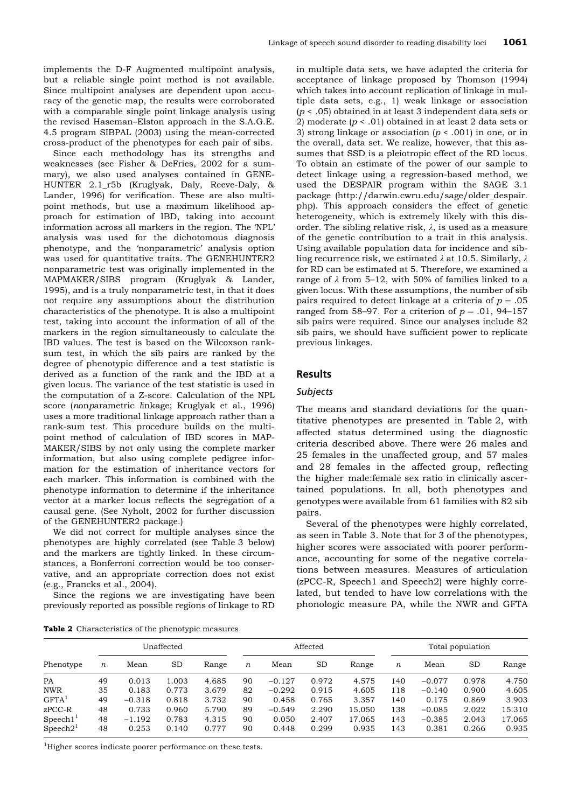implements the D-F Augmented multipoint analysis, but a reliable single point method is not available. Since multipoint analyses are dependent upon accuracy of the genetic map, the results were corroborated with a comparable single point linkage analysis using the revised Haseman–Elston approach in the S.A.G.E. 4.5 program SIBPAL (2003) using the mean-corrected cross-product of the phenotypes for each pair of sibs.

Since each methodology has its strengths and weaknesses (see Fisher & DeFries, 2002 for a summary), we also used analyses contained in GENE-HUNTER 2.1\_r5b (Kruglyak, Daly, Reeve-Daly, & Lander, 1996) for verification. These are also multipoint methods, but use a maximum likelihood approach for estimation of IBD, taking into account information across all markers in the region. The 'NPL' analysis was used for the dichotomous diagnosis phenotype, and the 'nonparametric' analysis option was used for quantitative traits. The GENEHUNTER2 nonparametric test was originally implemented in the MAPMAKER/SIBS program (Kruglyak & Lander, 1995), and is a truly nonparametric test, in that it does not require any assumptions about the distribution characteristics of the phenotype. It is also a multipoint test, taking into account the information of all of the markers in the region simultaneously to calculate the IBD values. The test is based on the Wilcoxson ranksum test, in which the sib pairs are ranked by the degree of phenotypic difference and a test statistic is derived as a function of the rank and the IBD at a given locus. The variance of the test statistic is used in the computation of a Z-score. Calculation of the NPL score (nonparametric linkage; Kruglyak et al., 1996) uses a more traditional linkage approach rather than a rank-sum test. This procedure builds on the multipoint method of calculation of IBD scores in MAP-MAKER/SIBS by not only using the complete marker information, but also using complete pedigree information for the estimation of inheritance vectors for each marker. This information is combined with the phenotype information to determine if the inheritance vector at a marker locus reflects the segregation of a causal gene. (See Nyholt, 2002 for further discussion of the GENEHUNTER2 package.)

We did not correct for multiple analyses since the phenotypes are highly correlated (see Table 3 below) and the markers are tightly linked. In these circumstances, a Bonferroni correction would be too conservative, and an appropriate correction does not exist (e.g., Francks et al., 2004).

Since the regions we are investigating have been previously reported as possible regions of linkage to RD in multiple data sets, we have adapted the criteria for acceptance of linkage proposed by Thomson (1994) which takes into account replication of linkage in multiple data sets, e.g., 1) weak linkage or association  $(p < .05)$  obtained in at least 3 independent data sets or 2) moderate ( $p < .01$ ) obtained in at least 2 data sets or 3) strong linkage or association ( $p < .001$ ) in one, or in the overall, data set. We realize, however, that this assumes that SSD is a pleiotropic effect of the RD locus. To obtain an estimate of the power of our sample to detect linkage using a regression-based method, we used the DESPAIR program within the SAGE 3.1 package (http://darwin.cwru.edu/sage/older\_despair. php). This approach considers the effect of genetic heterogeneity, which is extremely likely with this disorder. The sibling relative risk,  $\lambda$ , is used as a measure of the genetic contribution to a trait in this analysis. Using available population data for incidence and sibling recurrence risk, we estimated  $\lambda$  at 10.5. Similarly,  $\lambda$ for RD can be estimated at 5. Therefore, we examined a range of  $\lambda$  from 5–12, with 50% of families linked to a given locus. With these assumptions, the number of sib pairs required to detect linkage at a criteria of  $p = .05$ ranged from 58–97. For a criterion of  $p = .01, 94-157$ sib pairs were required. Since our analyses include 82 sib pairs, we should have sufficient power to replicate previous linkages.

## Results

#### Subjects

The means and standard deviations for the quantitative phenotypes are presented in Table 2, with affected status determined using the diagnostic criteria described above. There were 26 males and 25 females in the unaffected group, and 57 males and 28 females in the affected group, reflecting the higher male:female sex ratio in clinically ascertained populations. In all, both phenotypes and genotypes were available from 61 families with 82 sib pairs.

Several of the phenotypes were highly correlated, as seen in Table 3. Note that for 3 of the phenotypes, higher scores were associated with poorer performance, accounting for some of the negative correlations between measures. Measures of articulation (zPCC-R, Speech1 and Speech2) were highly correlated, but tended to have low correlations with the phonologic measure PA, while the NWR and GFTA

| Phenotype            |                  | Unaffected |           |       | Affected         |          |       | Total population |     |          |           |        |
|----------------------|------------------|------------|-----------|-------|------------------|----------|-------|------------------|-----|----------|-----------|--------|
|                      | $\boldsymbol{n}$ | Mean       | <b>SD</b> | Range | $\boldsymbol{n}$ | Mean     | SD    | Range            | n   | Mean     | <b>SD</b> | Range  |
| <b>PA</b>            | 49               | 0.013      | 1.003     | 4.685 | 90               | $-0.127$ | 0.972 | 4.575            | 140 | $-0.077$ | 0.978     | 4.750  |
| <b>NWR</b>           | 35               | 0.183      | 0.773     | 3.679 | 82               | $-0.292$ | 0.915 | 4.605            | 118 | $-0.140$ | 0.900     | 4.605  |
| GFTA <sup>1</sup>    | 49               | $-0.318$   | 0.818     | 3.732 | 90               | 0.458    | 0.765 | 3.357            | 140 | 0.175    | 0.869     | 3.903  |
| $zPCC-R$             | 48               | 0.733      | 0.960     | 5.790 | 89               | $-0.549$ | 2.290 | 15.050           | 138 | $-0.085$ | 2.022     | 15.310 |
| Speech1              | 48               | $-1.192$   | 0.783     | 4.315 | 90               | 0.050    | 2.407 | 17.065           | 143 | $-0.385$ | 2.043     | 17.065 |
| Speech2 <sup>1</sup> | 48               | 0.253      | 0.140     | 0.777 | 90               | 0.448    | 0.299 | 0.935            | 143 | 0.381    | 0.266     | 0.935  |

<sup>1</sup>Higher scores indicate poorer performance on these tests.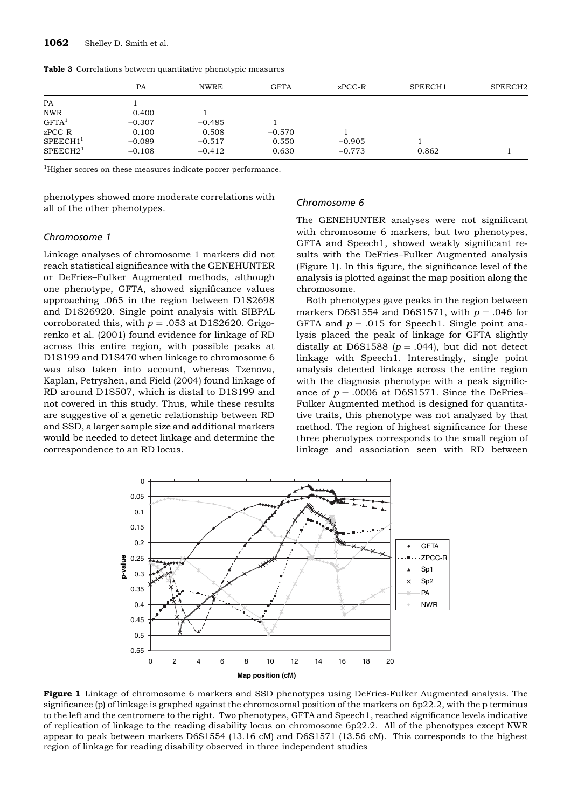|                        | <b>PA</b> | <b>NWRE</b> | <b>GFTA</b> | $zPCC-R$ | SPEECH1 | SPEECH <sub>2</sub> |
|------------------------|-----------|-------------|-------------|----------|---------|---------------------|
| PA                     |           |             |             |          |         |                     |
| <b>NWR</b>             | 0.400     |             |             |          |         |                     |
| $GFTA^1$               | $-0.307$  | $-0.485$    |             |          |         |                     |
| $zPCC-R$               | 0.100     | 0.508       | $-0.570$    |          |         |                     |
| $SPEECH1$ <sup>1</sup> | $-0.089$  | $-0.517$    | 0.550       | $-0.905$ |         |                     |
| SPEECH2 <sup>1</sup>   | $-0.108$  | $-0.412$    | 0.630       | $-0.773$ | 0.862   |                     |

Table 3 Correlations between quantitative phenotypic measures

<sup>1</sup>Higher scores on these measures indicate poorer performance.

phenotypes showed more moderate correlations with all of the other phenotypes.

#### Chromosome 6

#### Chromosome 1

Linkage analyses of chromosome 1 markers did not reach statistical significance with the GENEHUNTER or DeFries–Fulker Augmented methods, although one phenotype, GFTA, showed significance values approaching .065 in the region between D1S2698 and D1S26920. Single point analysis with SIBPAL corroborated this, with  $p = .053$  at D1S2620. Grigorenko et al. (2001) found evidence for linkage of RD across this entire region, with possible peaks at D1S199 and D1S470 when linkage to chromosome 6 was also taken into account, whereas Tzenova, Kaplan, Petryshen, and Field (2004) found linkage of RD around D1S507, which is distal to D1S199 and not covered in this study. Thus, while these results are suggestive of a genetic relationship between RD and SSD, a larger sample size and additional markers would be needed to detect linkage and determine the correspondence to an RD locus.

The GENEHUNTER analyses were not significant with chromosome 6 markers, but two phenotypes, GFTA and Speech1, showed weakly significant results with the DeFries–Fulker Augmented analysis (Figure 1). In this figure, the significance level of the analysis is plotted against the map position along the chromosome.

Both phenotypes gave peaks in the region between markers D6S1554 and D6S1571, with  $p = .046$  for GFTA and  $p = .015$  for Speech1. Single point analysis placed the peak of linkage for GFTA slightly distally at D6S1588 ( $p = .044$ ), but did not detect linkage with Speech1. Interestingly, single point analysis detected linkage across the entire region with the diagnosis phenotype with a peak significance of  $p = .0006$  at D6S1571. Since the DeFries– Fulker Augmented method is designed for quantitative traits, this phenotype was not analyzed by that method. The region of highest significance for these three phenotypes corresponds to the small region of linkage and association seen with RD between



Figure 1 Linkage of chromosome 6 markers and SSD phenotypes using DeFries-Fulker Augmented analysis. The significance (p) of linkage is graphed against the chromosomal position of the markers on 6p22.2, with the p terminus to the left and the centromere to the right. Two phenotypes, GFTA and Speech1, reached significance levels indicative of replication of linkage to the reading disability locus on chromosome 6p22.2. All of the phenotypes except NWR appear to peak between markers D6S1554 (13.16 cM) and D6S1571 (13.56 cM). This corresponds to the highest region of linkage for reading disability observed in three independent studies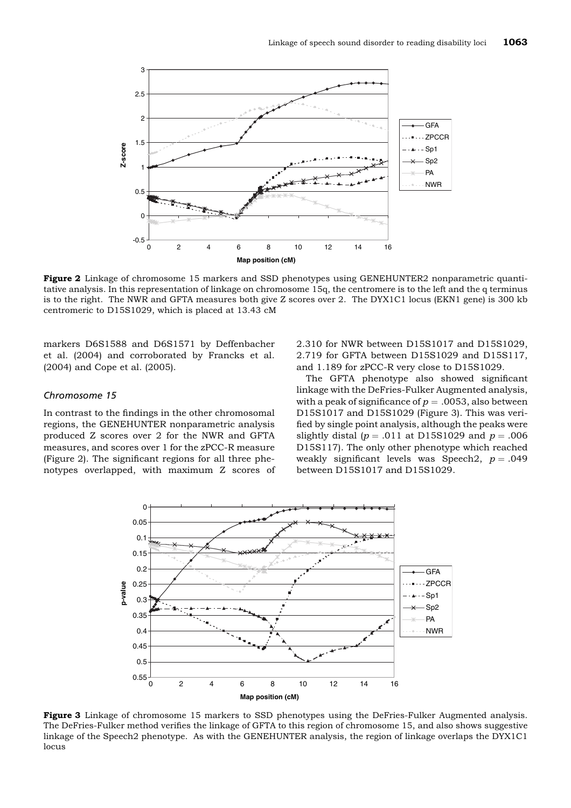

Figure 2 Linkage of chromosome 15 markers and SSD phenotypes using GENEHUNTER2 nonparametric quantitative analysis. In this representation of linkage on chromosome 15q, the centromere is to the left and the q terminus is to the right. The NWR and GFTA measures both give Z scores over 2. The DYX1C1 locus (EKN1 gene) is 300 kb centromeric to D15S1029, which is placed at 13.43 cM

markers D6S1588 and D6S1571 by Deffenbacher et al. (2004) and corroborated by Francks et al. (2004) and Cope et al. (2005).

#### Chromosome 15

In contrast to the findings in the other chromosomal regions, the GENEHUNTER nonparametric analysis produced Z scores over 2 for the NWR and GFTA measures, and scores over 1 for the zPCC-R measure (Figure 2). The significant regions for all three phenotypes overlapped, with maximum Z scores of 2.310 for NWR between D15S1017 and D15S1029, 2.719 for GFTA between D15S1029 and D15S117, and 1.189 for zPCC-R very close to D15S1029.

The GFTA phenotype also showed significant linkage with the DeFries-Fulker Augmented analysis, with a peak of significance of  $p = .0053$ , also between D15S1017 and D15S1029 (Figure 3). This was verified by single point analysis, although the peaks were slightly distal ( $p = .011$  at D15S1029 and  $p = .006$ D15S117). The only other phenotype which reached weakly significant levels was Speech2,  $p = .049$ between D15S1017 and D15S1029.



Figure 3 Linkage of chromosome 15 markers to SSD phenotypes using the DeFries-Fulker Augmented analysis. The DeFries-Fulker method verifies the linkage of GFTA to this region of chromosome 15, and also shows suggestive linkage of the Speech2 phenotype. As with the GENEHUNTER analysis, the region of linkage overlaps the DYX1C1 locus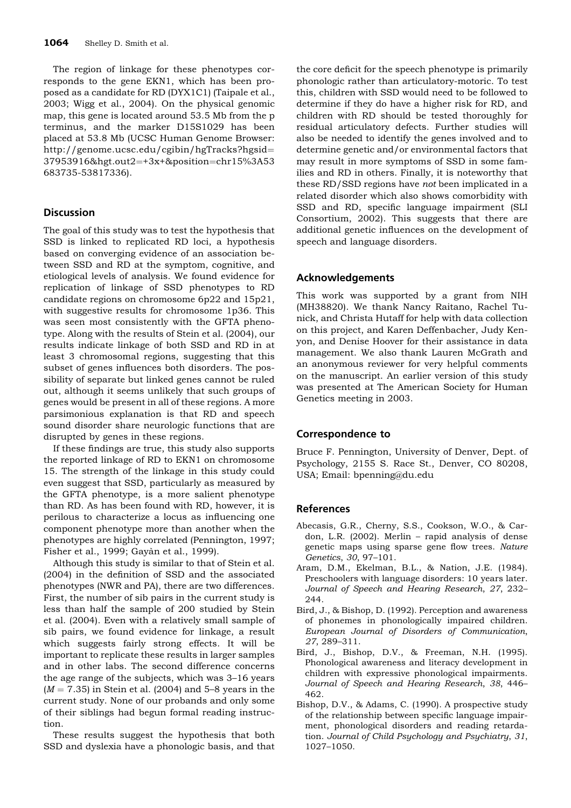The region of linkage for these phenotypes corresponds to the gene EKN1, which has been proposed as a candidate for RD (DYX1C1) (Taipale et al., 2003; Wigg et al., 2004). On the physical genomic map, this gene is located around 53.5 Mb from the p terminus, and the marker D15S1029 has been placed at 53.8 Mb (UCSC Human Genome Browser: http://genome.ucsc.edu/cgibin/hgTracks?hgsid=  $37953916$ &hgt.out $2=+3x+$ &position=chr15%3A53 683735-53817336).

## **Discussion**

The goal of this study was to test the hypothesis that SSD is linked to replicated RD loci, a hypothesis based on converging evidence of an association between SSD and RD at the symptom, cognitive, and etiological levels of analysis. We found evidence for replication of linkage of SSD phenotypes to RD candidate regions on chromosome 6p22 and 15p21, with suggestive results for chromosome 1p36. This was seen most consistently with the GFTA phenotype. Along with the results of Stein et al. (2004), our results indicate linkage of both SSD and RD in at least 3 chromosomal regions, suggesting that this subset of genes influences both disorders. The possibility of separate but linked genes cannot be ruled out, although it seems unlikely that such groups of genes would be present in all of these regions. A more parsimonious explanation is that RD and speech sound disorder share neurologic functions that are disrupted by genes in these regions.

If these findings are true, this study also supports the reported linkage of RD to EKN1 on chromosome 15. The strength of the linkage in this study could even suggest that SSD, particularly as measured by the GFTA phenotype, is a more salient phenotype than RD. As has been found with RD, however, it is perilous to characterize a locus as influencing one component phenotype more than another when the phenotypes are highly correlated (Pennington, 1997; Fisher et al., 1999; Gayàn et al., 1999).

Although this study is similar to that of Stein et al. (2004) in the definition of SSD and the associated phenotypes (NWR and PA), there are two differences. First, the number of sib pairs in the current study is less than half the sample of 200 studied by Stein et al. (2004). Even with a relatively small sample of sib pairs, we found evidence for linkage, a result which suggests fairly strong effects. It will be important to replicate these results in larger samples and in other labs. The second difference concerns the age range of the subjects, which was 3–16 years  $(M = 7.35)$  in Stein et al. (2004) and 5–8 years in the current study. None of our probands and only some of their siblings had begun formal reading instruction.

These results suggest the hypothesis that both SSD and dyslexia have a phonologic basis, and that the core deficit for the speech phenotype is primarily phonologic rather than articulatory-motoric. To test this, children with SSD would need to be followed to determine if they do have a higher risk for RD, and children with RD should be tested thoroughly for residual articulatory defects. Further studies will also be needed to identify the genes involved and to determine genetic and/or environmental factors that may result in more symptoms of SSD in some families and RD in others. Finally, it is noteworthy that these RD/SSD regions have not been implicated in a related disorder which also shows comorbidity with SSD and RD, specific language impairment (SLI Consortium, 2002). This suggests that there are additional genetic influences on the development of speech and language disorders.

#### Acknowledgements

This work was supported by a grant from NIH (MH38820). We thank Nancy Raitano, Rachel Tunick, and Christa Hutaff for help with data collection on this project, and Karen Deffenbacher, Judy Kenyon, and Denise Hoover for their assistance in data management. We also thank Lauren McGrath and an anonymous reviewer for very helpful comments on the manuscript. An earlier version of this study was presented at The American Society for Human Genetics meeting in 2003.

## Correspondence to

Bruce F. Pennington, University of Denver, Dept. of Psychology, 2155 S. Race St., Denver, CO 80208, USA; Email: bpenning@du.edu

## References

- Abecasis, G.R., Cherny, S.S., Cookson, W.O., & Cardon, L.R. (2002). Merlin – rapid analysis of dense genetic maps using sparse gene flow trees. Nature Genetics, 30, 97–101.
- Aram, D.M., Ekelman, B.L., & Nation, J.E. (1984). Preschoolers with language disorders: 10 years later. Journal of Speech and Hearing Research, 27, 232– 244.
- Bird, J., & Bishop, D. (1992). Perception and awareness of phonemes in phonologically impaired children. European Journal of Disorders of Communication, 27, 289–311.
- Bird, J., Bishop, D.V., & Freeman, N.H. (1995). Phonological awareness and literacy development in children with expressive phonological impairments. Journal of Speech and Hearing Research, 38, 446– 462.
- Bishop, D.V., & Adams, C. (1990). A prospective study of the relationship between specific language impairment, phonological disorders and reading retardation. Journal of Child Psychology and Psychiatry, 31, 1027–1050.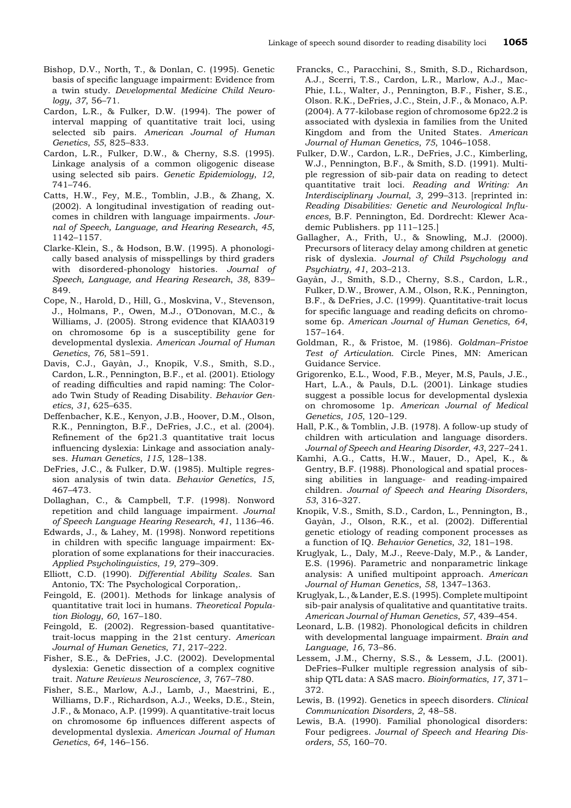- Bishop, D.V., North, T., & Donlan, C. (1995). Genetic basis of specific language impairment: Evidence from a twin study. Developmental Medicine Child Neurology, 37, 56–71.
- Cardon, L.R., & Fulker, D.W. (1994). The power of interval mapping of quantitative trait loci, using selected sib pairs. American Journal of Human Genetics, 55, 825–833.
- Cardon, L.R., Fulker, D.W., & Cherny, S.S. (1995). Linkage analysis of a common oligogenic disease using selected sib pairs. Genetic Epidemiology, 12, 741–746.
- Catts, H.W., Fey, M.E., Tomblin, J.B., & Zhang, X. (2002). A longitudinal investigation of reading outcomes in children with language impairments. Journal of Speech, Language, and Hearing Research, 45, 1142–1157.
- Clarke-Klein, S., & Hodson, B.W. (1995). A phonologically based analysis of misspellings by third graders with disordered-phonology histories. Journal of Speech, Language, and Hearing Research, 38, 839– 849.
- Cope, N., Harold, D., Hill, G., Moskvina, V., Stevenson, J., Holmans, P., Owen, M.J., O'Donovan, M.C., & Williams, J. (2005). Strong evidence that KIAA0319 on chromosome 6p is a susceptibility gene for developmental dyslexia. American Journal of Human Genetics, 76, 581–591.
- Davis, C.J., Gayàn, J., Knopik, V.S., Smith, S.D., Cardon, L.R., Pennington, B.F., et al. (2001). Etiology of reading difficulties and rapid naming: The Colorado Twin Study of Reading Disability. Behavior Genetics, 31, 625–635.
- Deffenbacher, K.E., Kenyon, J.B., Hoover, D.M., Olson, R.K., Pennington, B.F., DeFries, J.C., et al. (2004). Refinement of the 6p21.3 quantitative trait locus influencing dyslexia: Linkage and association analyses. Human Genetics, 115, 128–138.
- DeFries, J.C., & Fulker, D.W. (1985). Multiple regression analysis of twin data. Behavior Genetics, 15, 467–473.
- Dollaghan, C., & Campbell, T.F. (1998). Nonword repetition and child language impairment. Journal of Speech Language Hearing Research, 41, 1136–46.
- Edwards, J., & Lahey, M. (1998). Nonword repetitions in children with specific language impairment: Exploration of some explanations for their inaccuracies. Applied Psycholinguistics, 19, 279–309.
- Elliott, C.D. (1990). Differential Ability Scales. San Antonio, TX: The Psychological Corporation,.
- Feingold, E. (2001). Methods for linkage analysis of quantitative trait loci in humans. Theoretical Population Biology, 60, 167–180.
- Feingold, E. (2002). Regression-based quantitativetrait-locus mapping in the 21st century. American Journal of Human Genetics, 71, 217–222.
- Fisher, S.E., & DeFries, J.C. (2002). Developmental dyslexia: Genetic dissection of a complex cognitive trait. Nature Reviews Neuroscience, 3, 767–780.
- Fisher, S.E., Marlow, A.J., Lamb, J., Maestrini, E., Williams, D.F., Richardson, A.J., Weeks, D.E., Stein, J.F., & Monaco, A.P. (1999). A quantitative-trait locus on chromosome 6p influences different aspects of developmental dyslexia. American Journal of Human Genetics, 64, 146–156.
- Francks, C., Paracchini, S., Smith, S.D., Richardson, A.J., Scerri, T.S., Cardon, L.R., Marlow, A.J., Mac-Phie, I.L., Walter, J., Pennington, B.F., Fisher, S.E., Olson. R.K., DeFries, J.C., Stein, J.F., & Monaco, A.P. (2004). A 77-kilobase region of chromosome 6p22.2 is associated with dyslexia in families from the United Kingdom and from the United States. American Journal of Human Genetics, 75, 1046–1058.
- Fulker, D.W., Cardon, L.R., DeFries, J.C., Kimberling, W.J., Pennington, B.F., & Smith, S.D. (1991). Multiple regression of sib-pair data on reading to detect quantitative trait loci. Reading and Writing: An Interdisciplinary Journal, 3, 299–313. [reprinted in: Reading Disabilities: Genetic and Neurological Influences, B.F. Pennington, Ed. Dordrecht: Klewer Academic Publishers. pp 111–125.]
- Gallagher, A., Frith, U., & Snowling, M.J. (2000). Precursors of literacy delay among children at genetic risk of dyslexia. Journal of Child Psychology and Psychiatry, 41, 203–213.
- Gayàn, J., Smith, S.D., Cherny, S.S., Cardon, L.R., Fulker, D.W., Brower, A.M., Olson, R.K., Pennington, B.F., & DeFries, J.C. (1999). Quantitative-trait locus for specific language and reading deficits on chromosome 6p. American Journal of Human Genetics, 64, 157–164.
- Goldman, R., & Fristoe, M. (1986). Goldman–Fristoe Test of Articulation. Circle Pines, MN: American Guidance Service.
- Grigorenko, E.L., Wood, F.B., Meyer, M.S, Pauls, J.E., Hart, L.A., & Pauls, D.L. (2001). Linkage studies suggest a possible locus for developmental dyslexia on chromosome 1p. American Journal of Medical Genetics, 105, 120–129.
- Hall, P.K., & Tomblin, J.B. (1978). A follow-up study of children with articulation and language disorders. Journal of Speech and Hearing Disorder, 43, 227–241.
- Kamhi, A.G., Catts, H.W., Mauer, D., Apel, K., & Gentry, B.F. (1988). Phonological and spatial processing abilities in language- and reading-impaired children. Journal of Speech and Hearing Disorders, 53, 316–327.
- Knopik, V.S., Smith, S.D., Cardon, L., Pennington, B., Gayàn, J., Olson, R.K., et al. (2002). Differential genetic etiology of reading component processes as a function of IQ. Behavior Genetics, 32, 181–198.
- Kruglyak, L., Daly, M.J., Reeve-Daly, M.P., & Lander, E.S. (1996). Parametric and nonparametric linkage analysis: A unified multipoint approach. American Journal of Human Genetics, 58, 1347–1363.
- Kruglyak, L., & Lander, E.S. (1995). Complete multipoint sib-pair analysis of qualitative and quantitative traits. American Journal of Human Genetics, 57, 439–454.
- Leonard, L.B. (1982). Phonological deficits in children with developmental language impairment. Brain and Language, 16, 73–86.
- Lessem, J.M., Cherny, S.S., & Lessem, J.L. (2001). DeFries–Fulker multiple regression analysis of sibship QTL data: A SAS macro. Bioinformatics, 17, 371– 372.
- Lewis, B. (1992). Genetics in speech disorders. Clinical Communication Disorders, 2, 48–58.
- Lewis, B.A. (1990). Familial phonological disorders: Four pedigrees. Journal of Speech and Hearing Disorders, 55, 160–70.